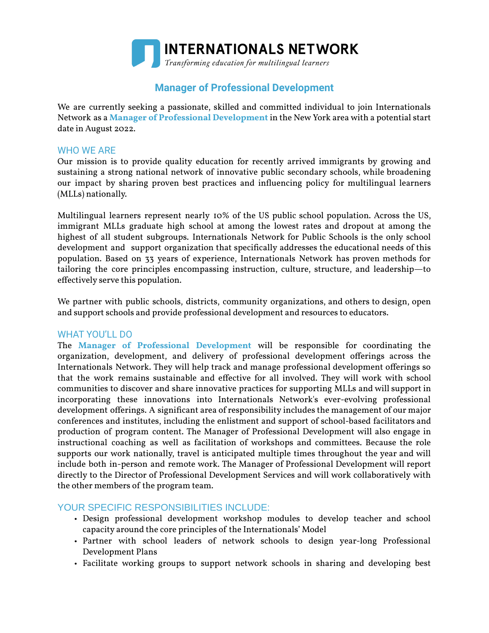

# **Manager of Professional Development**

We are currently seeking a passionate, skilled and committed individual to join Internationals Network as a **Manager of Professional Development** in the New York area with a potential start date in August 2022.

### WHO WE ARE

Our mission is to provide quality education for recently arrived immigrants by growing and sustaining a strong national network of innovative public secondary schools, while broadening our impact by sharing proven best practices and influencing policy for multilingual learners (MLLs) nationally.

Multilingual learners represent nearly 10% of the US public school population. Across the US, immigrant MLLs graduate high school at among the lowest rates and dropout at among the highest of all student subgroups. Internationals Network for Public Schools is the only school development and support organization that specifically addresses the educational needs of this population. Based on 33 years of experience, Internationals Network has proven methods for tailoring the core principles encompassing instruction, culture, structure, and leadership—to effectively serve this population.

We partner with public schools, districts, community organizations, and others to design, open and support schools and provide professional development and resources to educators.

#### WHAT YOU'LL DO

The **Manager of Professional Development** will be responsible for coordinating the organization, development, and delivery of professional development offerings across the Internationals Network. They will help track and manage professional development offerings so that the work remains sustainable and effective for all involved. They will work with school communities to discover and share innovative practices for supporting MLLs and will support in incorporating these innovations into Internationals Network's ever-evolving professional development offerings. A significant area of responsibility includes the management of our major conferences and institutes, including the enlistment and support of school-based facilitators and production of program content. The Manager of Professional Development will also engage in instructional coaching as well as facilitation of workshops and committees. Because the role supports our work nationally, travel is anticipated multiple times throughout the year and will include both in-person and remote work. The Manager of Professional Development will report directly to the Director of Professional Development Services and will work collaboratively with the other members of the program team.

#### YOUR SPECIFIC RESPONSIBILITIES INCLUDE:

- Design professional development workshop modules to develop teacher and school capacity around the core principles of the Internationals' Model
- Partner with school leaders of network schools to design year-long Professional Development Plans
- Facilitate working groups to support network schools in sharing and developing best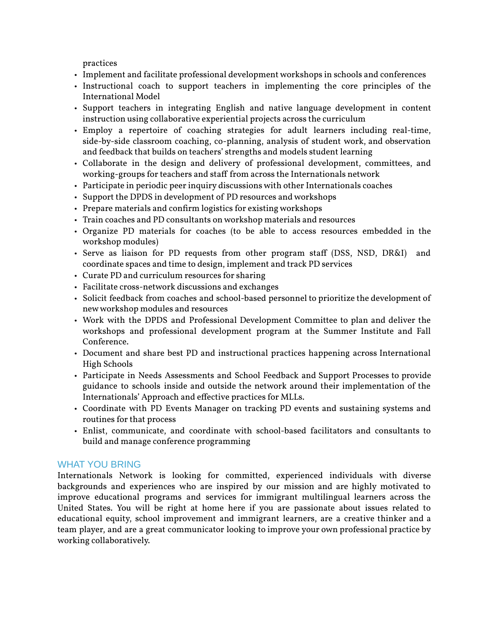practices

- Implement and facilitate professional development workshops in schools and conferences
- Instructional coach to support teachers in implementing the core principles of the International Model
- Support teachers in integrating English and native language development in content instruction using collaborative experiential projects across the curriculum
- Employ a repertoire of coaching strategies for adult learners including real-time, side-by-side classroom coaching, co-planning, analysis of student work, and observation and feedback that builds on teachers' strengths and models student learning
- Collaborate in the design and delivery of professional development, committees, and working-groups for teachers and staff from across the Internationals network
- Participate in periodic peer inquiry discussions with other Internationals coaches
- Support the DPDS in development of PD resources and workshops
- Prepare materials and confirm logistics for existing workshops
- Train coaches and PD consultants on workshop materials and resources
- Organize PD materials for coaches (to be able to access resources embedded in the workshop modules)
- Serve as liaison for PD requests from other program staff (DSS, NSD, DR&I) and coordinate spaces and time to design, implement and track PD services
- Curate PD and curriculum resources for sharing
- Facilitate cross-network discussions and exchanges
- Solicit feedback from coaches and school-based personnel to prioritize the development of newworkshop modules and resources
- Work with the DPDS and Professional Development Committee to plan and deliver the workshops and professional development program at the Summer Institute and Fall Conference.
- Document and share best PD and instructional practices happening across International High Schools
- Participate in Needs Assessments and School Feedback and Support Processes to provide guidance to schools inside and outside the network around their implementation of the Internationals' Approach and effective practices for MLLs.
- Coordinate with PD Events Manager on tracking PD events and sustaining systems and routines for that process
- Enlist, communicate, and coordinate with school-based facilitators and consultants to build and manage conference programming

#### WHAT YOU BRING

Internationals Network is looking for committed, experienced individuals with diverse backgrounds and experiences who are inspired by our mission and are highly motivated to improve educational programs and services for immigrant multilingual learners across the United States. You will be right at home here if you are passionate about issues related to educational equity, school improvement and immigrant learners, are a creative thinker and a team player, and are a great communicator looking to improve your own professional practice by working collaboratively.